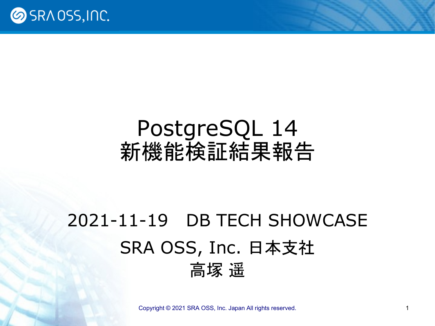

### PostgreSQL 14 新機能検証結果報告

### 2021-11-19 DB TECH SHOWCASE SRA OSS, Inc. 日本支社 高塚 遥

[Copyright © 2021 SRA OSS, Inc. Japan All rights reserved.](http://www.sraoss.co.jp/) 1 1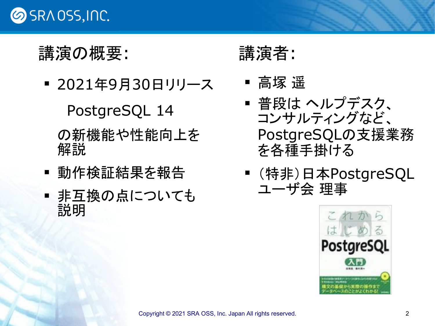

#### 講演の概要:

■ 2021年9月30日リリース

PostgreSQL 14

の新機能や性能向上を 解説

- 動作検証結果を報告
- 非互換の点についても 説明

講演者:

- 高塚 遥
- 普段は ヘルプデスク、 コンサルティングなど、 PostgreSQLの支援業務 を各種手掛ける
- (特非)日本PostgreSQL ユーザ会 理事

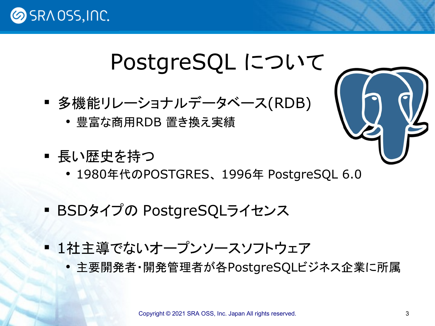## PostgreSQL について

- 多機能リレーショナルデータベース(RDB)
	- 豊富な商用RDB 置き換え実績
- 長い歴史を持つ
	- 1980年代のPOSTGRES、 1996年 PostgreSQL 6.0
- BSDタイプの PostgreSQLライセンス
- 1社主導でないオープンソースソフトウェア
	- 主要開発者・開発管理者が各PostgreSQLビジネス企業に所属

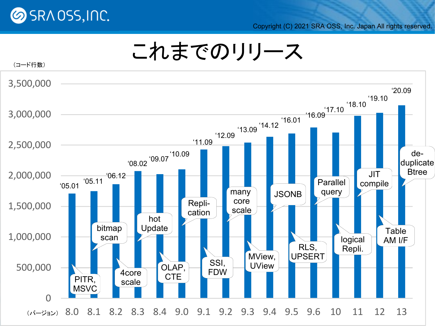

Copyright (C) 2021 SRA OSS, Inc. Japan All rights reserved.



### これまでのリリース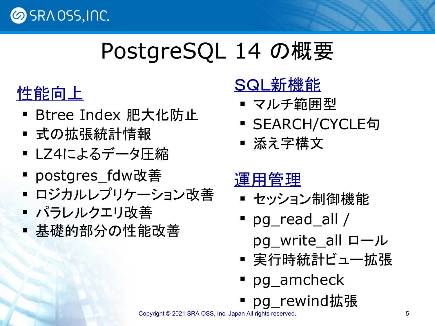

## PostgreSQL 14 の概要

### 性能向上

- Btree Index 肥大化防止
- 式の拡張統計情報
- LZ4によるデータ圧縮
- postgres\_fdw改善
- ロジカルレプリケーション改善
- パラレルクエリ改善
- 基礎的部分の性能改善

### SQL新機能

- マルチ範囲型
- SEARCH/CYCLE句
- 添え字構文

### 運用管理

- セッション制御機能
- pg\_read\_all /
	- pg\_write\_all ロール
- 実行時統計ビュー拡張
- pg\_amcheck
- pg\_rewind拡張

[Copyright © 2021 SRA OSS, Inc. Japan All rights reserved.](http://www.sraoss.co.jp/) 5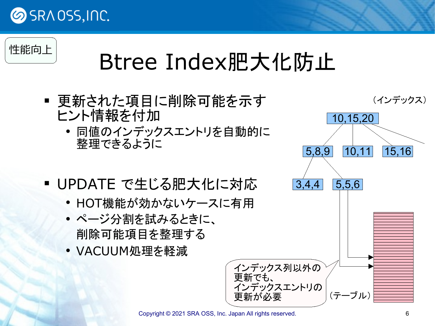

## Btree Index肥大化防止

- 更新された項目に削除可能を示す ヒント情報を付加
	- 同値のインデックスエントリを自動的に 整理できるように
- UPDATE で生じる肥大化に対応
	- HOT機能が効かないケースに有用
	- ページ分割を試みるときに、 削除可能項目を整理する
	- VACUUM処理を軽減

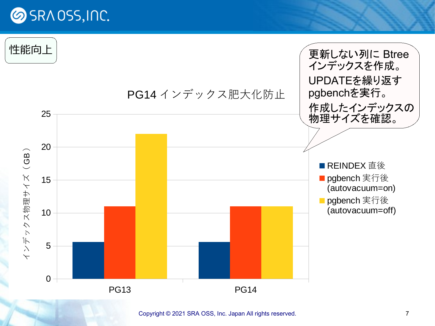

[Copyright © 2021 SRA OSS, Inc. Japan All rights reserved.](http://www.sraoss.co.jp/) 7 7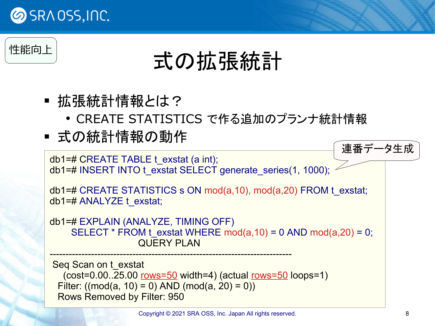

性能向上

## 式の拡張統計

- 拡張統計情報とは?
	- CREATE STATISTICS で作る追加のプランナ統計情報
- 式の統計情報の動作

```
db1=# CREATE TABLE t_exstat (a int);
db1=# INSERT INTO t_exstat SELECT generate_series(1, 1000);
db1=# CREATE STATISTICS s ON mod(a,10), mod(a,20) FROM t_exstat;
db1=# ANALYZE t_exstat;
db1=# EXPLAIN (ANALYZE, TIMING OFF)
    SELECT * FROM t_exstat WHERE mod(a,10) = 0 AND mod(a,20) = 0;
                    QUERY PLAN
----------------------------------------------------------------------------
Seq Scan on t_exstat
   (cost=0.00..25.00 rows=50 width=4) (actual rows=50 loops=1)
 Filter: ((\text{mod}(a, 10) = 0) AND (\text{mod}(a, 20) = 0))連番データ生成
```
Rows Removed by Filter: 950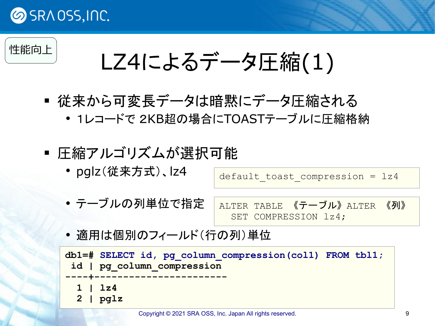#### 性能向上

LZ4によるデータ圧縮(1)

- 従来から可変長データは暗黙にデータ圧縮される
	- 1レコードで 2KB超の場合にTOASTテーブルに圧縮格納
- 圧縮アルゴリズムが選択可能
	- pglz(従来方式)、lz4

default toast compression =  $1z4$ 

- テーブルの列単位で指定 ALTER TABLE 《テーブル》ALTER 《列》 SET COMPRESSION lz4;
- 適用は個別のフィールド(行の列)単位

```
db1=# SELECT id, pg_column_compression(col1) FROM tbl1;
 id | pg_column_compression 
----+-----------------------
   1 | lz4
   2 | pglz
```
[Copyright © 2021 SRA OSS, Inc. Japan All rights reserved.](http://www.sraoss.co.jp/) 9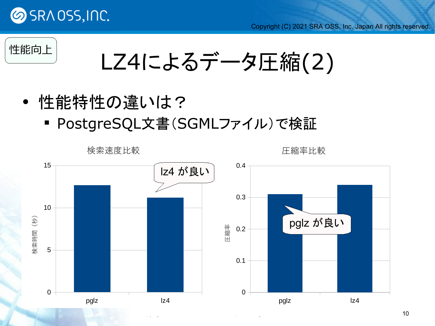



LZ4によるデータ圧縮(2)

- 性能特性の違いは?
	- PostgreSQL文書(SGMLファイル)で検証

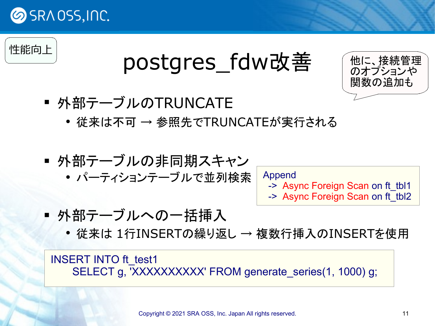



## postgres fdw改善



- 外部テーブルのTRUNCATE
	- 従来は不可 → 参照先でTRUNCATEが実行される
- 外部テーブルの非同期スキャン パーティションテーブルで並列検索

Append

- -> Async Foreign Scan on ft\_tbl1
- -> Async Foreign Scan on ft\_tbl2

- 外部テーブルへの一括挿入
	- 従来は 1行INSERTの繰り返し → 複数行挿入のINSERTを使用

INSERT INTO ft\_test1 SELECT g, 'XXXXXXXXXX' FROM generate\_series(1, 1000) g;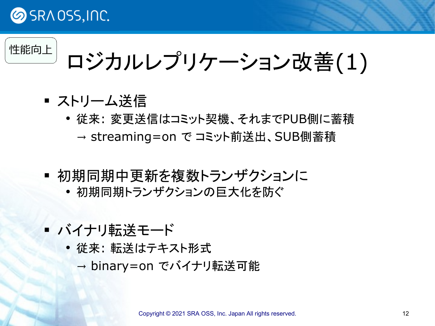

ロジカルレプリケーション改善(1)

- ストリーム送信
	- 従来: 変更送信はコミット契機、それまでPUB側に蓄積 → streaming=on で コミット前送出、SUB側蓄積
- 初期同期中更新を複数トランザクションに
	- 初期同期トランザクションの巨大化を防ぐ
- バイナリ転送モード
	- 従来: 転送はテキスト形式 → binary=on でバイナリ転送可能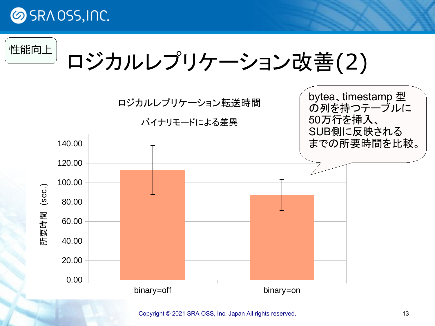

ロジカルレプリケーション改善(2)



[Copyright © 2021 SRA OSS, Inc. Japan All rights reserved.](http://www.sraoss.co.jp/) 13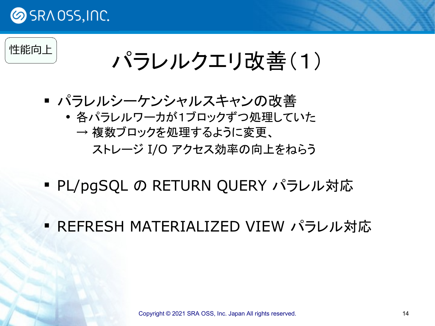

## パラレルクエリ改善(1)

- パラレルシーケンシャルスキャンの改善
	- 各パラレルワーカが1ブロックずつ処理していた → 複数ブロックを処理するように変更、 ストレージ I/O アクセス効率の向上をねらう
- PL/pgSQL の RETURN QUERY パラレル対応
- REFRESH MATERIALIZED VIEW パラレル対応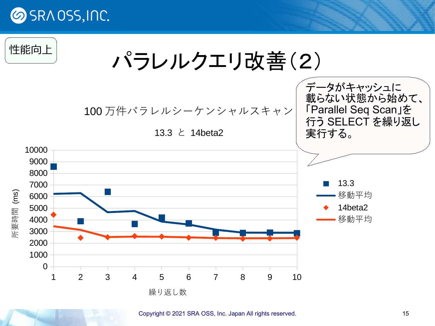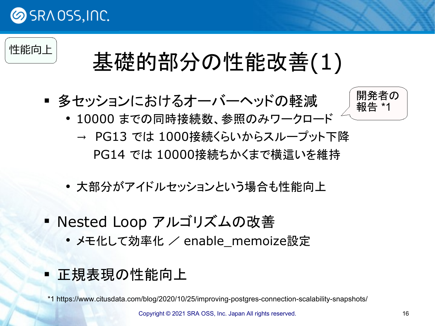

## 性能向上 基礎的部分の性能改善(1)

多セッションにおけるオーバーヘッドの軽減



- 10000 までの同時接続数、参照のみワークロード
	- → PG13 では 1000接続くらいからスループット下降 PG14 では 10000接続ちかくまで横這いを維持
- 大部分がアイドルセッションという場合も性能向上
- Nested Loop アルゴリズムの改善
	- メモ化して効率化 / enable\_memoize設定
- 正規表現の性能向上

\*1 https://www.citusdata.com/blog/2020/10/25/improving-postgres-connection-scalability-snapshots/

[Copyright © 2021 SRA OSS, Inc. Japan All rights reserved.](http://www.sraoss.co.jp/) 16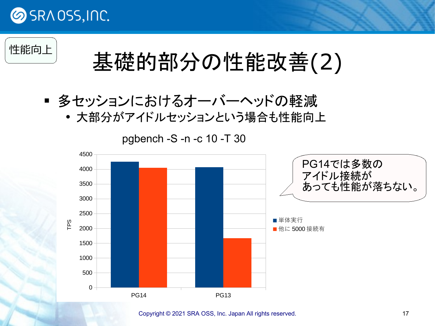

# 性能向上 基礎的部分の性能改善(2)

- 多セッションにおけるオーバーヘッドの軽減
	- 大部分がアイドルセッションという場合も性能向上



[Copyright © 2021 SRA OSS, Inc. Japan All rights reserved.](http://www.sraoss.co.jp/) 17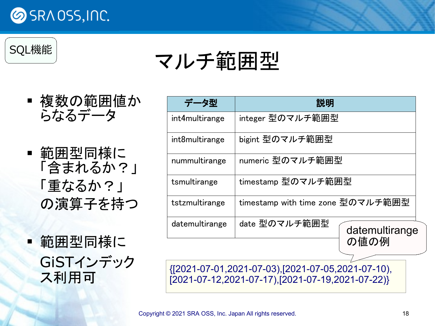



マルチ範囲型

- 複数の範囲値か らなるデータ
- ■範囲型同様に 「含まれるか?」 「重なるか?」 の演算子を持つ

■範囲型同様に GiSTインデック ス利用可

| データ型           | 説明                                |                        |
|----------------|-----------------------------------|------------------------|
| int4multirange | integer 型のマルチ範囲型                  |                        |
| int8multirange | bigint 型のマルチ範囲型                   |                        |
| nummultirange  | numeric 型のマルチ範囲型                  |                        |
| tsmultirange   | timestamp 型のマルチ範囲型                |                        |
| tstzmultirange | timestamp with time zone 型のマルチ範囲型 |                        |
| datemultirange | date 型のマルチ範囲型                     | datemultirange<br>の値の例 |

{[2021-07-01,2021-07-03),[2021-07-05,2021-07-10), [2021-07-12,2021-07-17),[2021-07-19,2021-07-22)}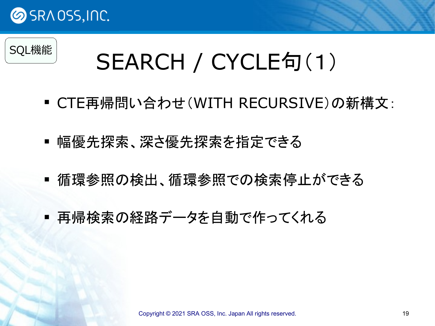

## SEARCH / CYCLE句(1)

- CTE再帰問い合わせ(WITH RECURSIVE)の新構文:
- 幅優先探索、深さ優先探索を指定できる
- 循環参照の検出、循環参照での検索停止ができる
- 再帰検索の経路データを自動で作ってくれる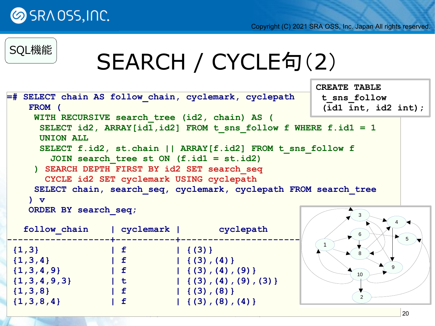

## SEARCH / CYCLE句(2)

```
=# SELECT chain AS follow_chain, cyclemark, cyclepath
    FROM (
     WITH RECURSIVE search_tree (id2, chain) AS (
      SELECT id2, ARRAY[id1,id2] FROM t_sns_follow f WHERE f.id1 = 1
      UNION ALL
      SELECT f.id2, st.chain || ARRAY[f.id2] FROM t_sns_follow f
        JOIN search_tree st ON (f.id1 = st.id2)
     ) SEARCH DEPTH FIRST BY id2 SET search_seq 
       CYCLE id2 SET cyclemark USING cyclepath
     SELECT chain, search_seq, cyclemark, cyclepath FROM search_tree
    ) v
    ORDER BY search_seq;
   follow_chain | cyclemark | cyclepath
-------------------+-----------+-------------------------------
 \{1,3\} | f | {(3)}
 \{1,3,4\} | f | {(3),(4)}
\{1,3,4,9\} | f | {(3),(4),(9)}
\{1,3,4,9,3\} \qquad \qquad \qquad \qquad \{ (3), (4), (9), (3) \}\{1,3,8\} | f | {(3),(8)}
\{1,3,8,4\} \qquad \qquad \qquad \qquad \qquad \{ (3), (8), (4) \}1
                                                                3
                                                                 6
                                                                 8
                                                                10
                                                                       4
                                                                         5
                                                                      9
                                                                 2
                                                        CREATE TABLE
                                                         t_sns_follow
                                                          (id1 int, id2 int);
```
 $\sim$  2021 SRA  $\sim$  2021 SRA  $\sim$  2021 SRA  $\sim$  3021 SRA  $\sim$  3021 SRA  $\sim$  2021 SR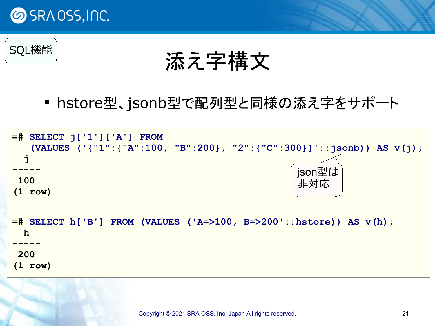

SQL機能

添え字構文

hstore型、jsonb型で配列型と同様の添え字をサポート

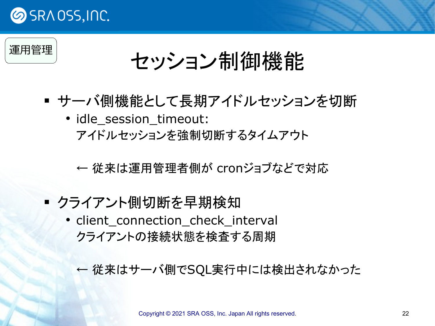



## セッション制御機能

- サーバ側機能として長期アイドルセッションを切断
	- idle\_session\_timeout: アイドルセッションを強制切断するタイムアウト

← 従来は運用管理者側が cronジョブなどで対応

- クライアント側切断を早期検知
	- client\_connection\_check\_interval クライアントの接続状態を検査する周期
		- ← 従来はサーバ側でSQL実行中には検出されなかった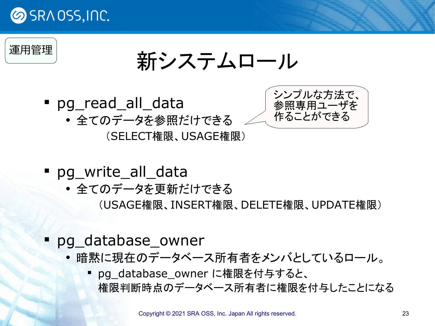

新システムロール

- pg\_read\_all\_data
	- 全てのデータを参照だけできる

(SELECT権限、USAGE権限)



- pg\_write\_all\_data
	- 全てのデータを更新だけできる
		- (USAGE権限、INSERT権限、DELETE権限、UPDATE権限)
- pg\_database\_owner
	- 暗黙に現在のデータベース所有者をメンバとしているロール。
		- pg\_database\_owner に権限を付与すると、 権限判断時点のデータベース所有者に権限を付与したことになる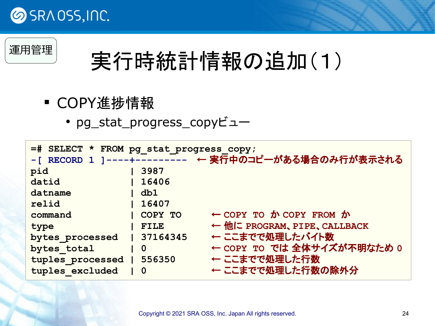



## 実行時統計情報の追加(1)

- COPY進捗情報
	- pg\_stat\_progress\_copyビュー

| =# SELECT * FROM pg_stat_progress_copy; |             |                                                      |  |  |
|-----------------------------------------|-------------|------------------------------------------------------|--|--|
|                                         |             | -[ RECORD 1 ]----+---------- ← 実行中のコピーがある場合のみ行が表示される |  |  |
| pid                                     | 3987        |                                                      |  |  |
| datid                                   | 16406       |                                                      |  |  |
| datname                                 | db1         |                                                      |  |  |
| relid                                   | 16407       |                                                      |  |  |
| command                                 | COPY TO     | $\leftarrow$ COPY TO $\hbar$ COPY FROM $\hbar$       |  |  |
| type                                    | <b>FILE</b> | ← 他に PROGRAM、PIPE、CALLBACK                           |  |  |
| bytes processed                         | 37164345    | ← ここまでで処理したバイト数                                      |  |  |
| bytes total                             | $\mathbf 0$ | ← COPY TO では 全体サイズが不明なため 0                           |  |  |
| tuples processed                        | 556350      | ← ここまでで処理した行数                                        |  |  |
| tuples excluded                         | $\mathbf 0$ | ← ここまでで処理した行数の除外分                                    |  |  |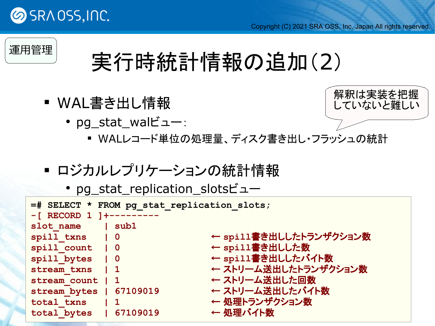



## 実行時統計情報の追加(2)

- WAL書き出し情報
	- pg\_stat\_walビュー:



- WALレコード単位の処理量、ディスク書き出し・フラッシュの統計
- ロジカルレプリケーションの統計情報
	- pg\_stat\_replication\_slotsビュー

| =# SELECT * FROM pg stat replication slots;<br>$-$ [ RECORD 1 ] +--------- |                                       |  |
|----------------------------------------------------------------------------|---------------------------------------|--|
| slot name   sub1<br>spill txns   0                                         | ← spi11書き出ししたトランザクション数                |  |
| spill count   0<br>spill bytes   0                                         | ← spill書き出しした数<br>← spill書き出ししたバイト数   |  |
| stream txns   1<br>stream count   1                                        | ← ストリーム送出したトランザクション数<br>← ストリーム送出した回数 |  |
| stream bytes   67109019                                                    | ← ストリーム送出したバイト数<br>← 処理トランザクション数      |  |
| total txns   1<br>total bytes   67109019                                   | ← 処理バイト数                              |  |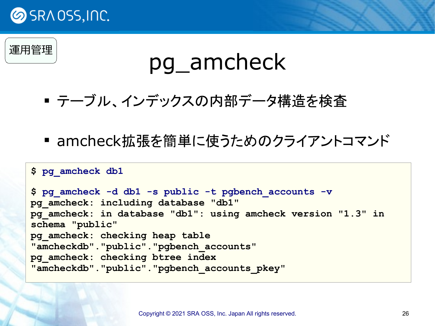

### 運用管理

## pg\_amcheck

- テーブル、インデックスの内部データ構造を検査
- amcheck拡張を簡単に使うためのクライアントコマンド

#### **\$ pg\_amcheck db1**

**\$ pg\_amcheck -d db1 -s public -t pgbench\_accounts -v pg\_amcheck: including database "db1" pg\_amcheck: in database "db1": using amcheck version "1.3" in schema "public" pg\_amcheck: checking heap table "amcheckdb"."public"."pgbench\_accounts" pg\_amcheck: checking btree index "amcheckdb"."public"."pgbench\_accounts\_pkey"**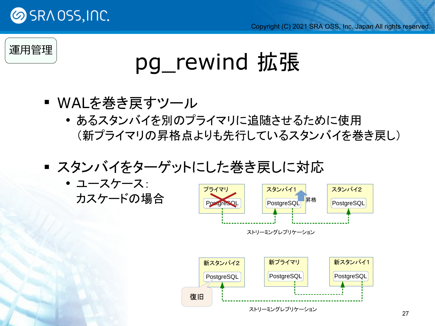

### 運用管理

## pg\_rewind 拡張

- WALを巻き戻すツール
	- あるスタンバイを別のプライマリに追随させるために使用 (新プライマリの昇格点よりも先行しているスタンバイを巻き戻し)
- スタンバイをターゲットにした巻き戻しに対応
	- ユースケース: カスケードの場合

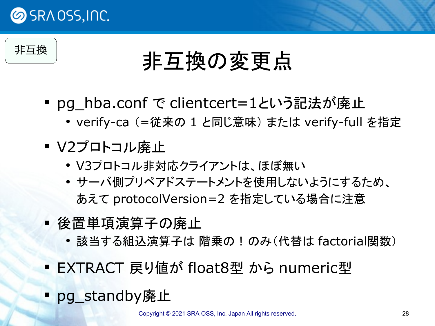

非互換

## 非互換の変更点

- pg\_hba.conf で clientcert=1という記法が廃止
	- verify-ca (=従来の 1 と同じ意味) または verify-full を指定
- V2プロトコル廃止
	- V3プロトコル非対応クライアントは、ほぼ無い
	- サーバ側プリペアドステートメントを使用しないようにするため、 あえて protocolVersion=2 を指定している場合に注意
- 後置単項演算子の廃止
	- 該当する組込演算子は 階乗の ! のみ(代替は factorial関数)
- EXTRACT 戻り値が float8型 から numeric型
- pg\_standby廃止